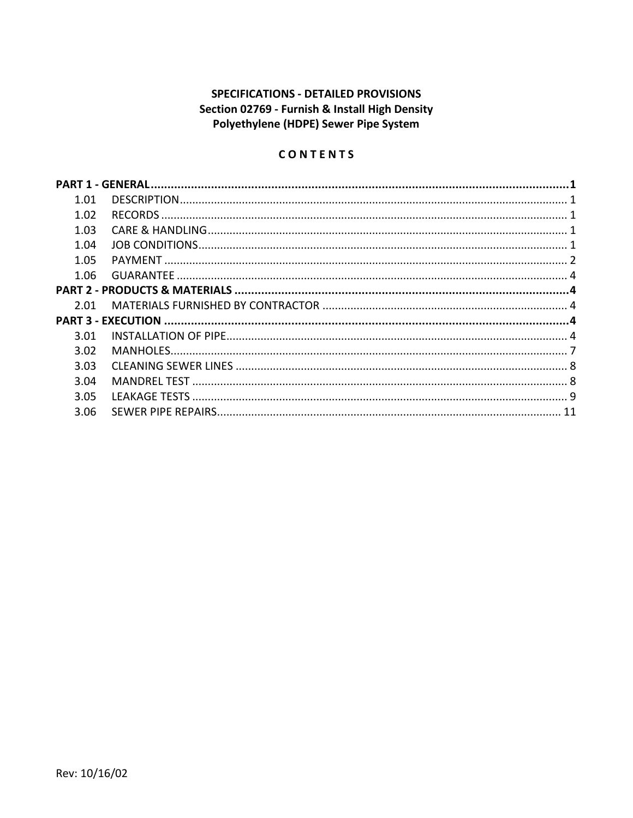# **SPECIFICATIONS - DETAILED PROVISIONS** Section 02769 - Furnish & Install High Density Polyethylene (HDPE) Sewer Pipe System

# CONTENTS

| 1.01 |  |
|------|--|
| 1.02 |  |
| 1.03 |  |
| 1.04 |  |
| 1.05 |  |
| 1.06 |  |
|      |  |
| 2.01 |  |
|      |  |
| 3.01 |  |
| 3.02 |  |
| 3.03 |  |
| 3.04 |  |
| 3.05 |  |
| 3.06 |  |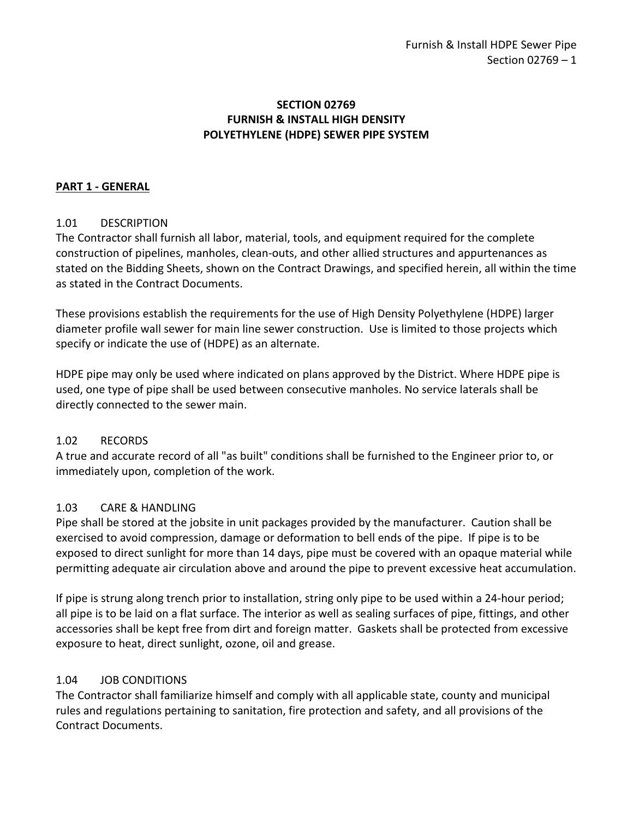### **SECTION 02769 FURNISH & INSTALL HIGH DENSITY POLYETHYLENE (HDPE) SEWER PIPE SYSTEM**

### <span id="page-2-0"></span>**PART 1 - GENERAL**

### <span id="page-2-1"></span>1.01 DESCRIPTION

The Contractor shall furnish all labor, material, tools, and equipment required for the complete construction of pipelines, manholes, clean-outs, and other allied structures and appurtenances as stated on the Bidding Sheets, shown on the Contract Drawings, and specified herein, all within the time as stated in the Contract Documents.

These provisions establish the requirements for the use of High Density Polyethylene (HDPE) larger diameter profile wall sewer for main line sewer construction. Use is limited to those projects which specify or indicate the use of (HDPE) as an alternate.

HDPE pipe may only be used where indicated on plans approved by the District. Where HDPE pipe is used, one type of pipe shall be used between consecutive manholes. No service laterals shall be directly connected to the sewer main.

### <span id="page-2-2"></span>1.02 RECORDS

A true and accurate record of all "as built" conditions shall be furnished to the Engineer prior to, or immediately upon, completion of the work.

### <span id="page-2-3"></span>1.03 CARE & HANDLING

Pipe shall be stored at the jobsite in unit packages provided by the manufacturer. Caution shall be exercised to avoid compression, damage or deformation to bell ends of the pipe. If pipe is to be exposed to direct sunlight for more than 14 days, pipe must be covered with an opaque material while permitting adequate air circulation above and around the pipe to prevent excessive heat accumulation.

If pipe is strung along trench prior to installation, string only pipe to be used within a 24-hour period; all pipe is to be laid on a flat surface. The interior as well as sealing surfaces of pipe, fittings, and other accessories shall be kept free from dirt and foreign matter. Gaskets shall be protected from excessive exposure to heat, direct sunlight, ozone, oil and grease.

### <span id="page-2-4"></span>1.04 JOB CONDITIONS

The Contractor shall familiarize himself and comply with all applicable state, county and municipal rules and regulations pertaining to sanitation, fire protection and safety, and all provisions of the Contract Documents.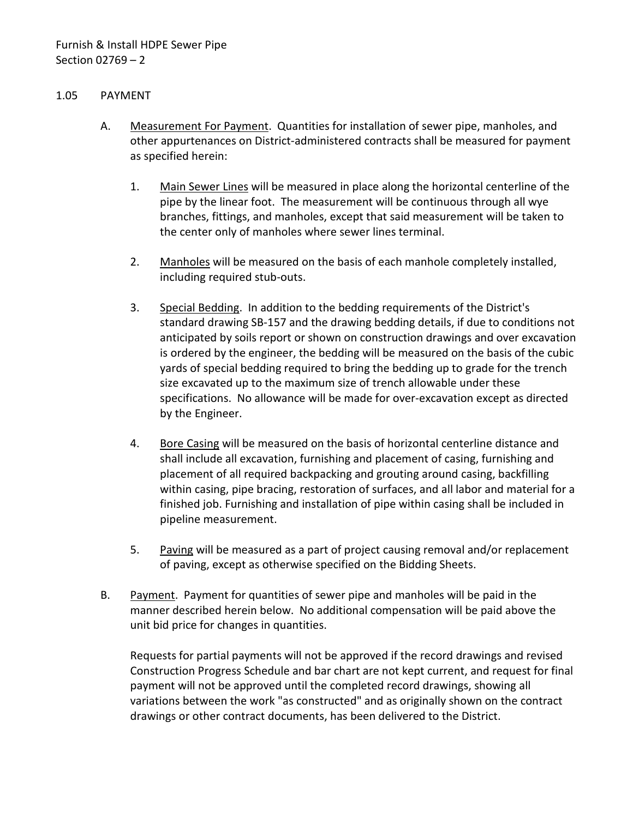### <span id="page-3-0"></span>1.05 PAYMENT

- A. Measurement For Payment. Quantities for installation of sewer pipe, manholes, and other appurtenances on District-administered contracts shall be measured for payment as specified herein:
	- 1. Main Sewer Lines will be measured in place along the horizontal centerline of the pipe by the linear foot. The measurement will be continuous through all wye branches, fittings, and manholes, except that said measurement will be taken to the center only of manholes where sewer lines terminal.
	- 2. Manholes will be measured on the basis of each manhole completely installed, including required stub-outs.
	- 3. Special Bedding. In addition to the bedding requirements of the District's standard drawing SB-157 and the drawing bedding details, if due to conditions not anticipated by soils report or shown on construction drawings and over excavation is ordered by the engineer, the bedding will be measured on the basis of the cubic yards of special bedding required to bring the bedding up to grade for the trench size excavated up to the maximum size of trench allowable under these specifications. No allowance will be made for over-excavation except as directed by the Engineer.
	- 4. Bore Casing will be measured on the basis of horizontal centerline distance and shall include all excavation, furnishing and placement of casing, furnishing and placement of all required backpacking and grouting around casing, backfilling within casing, pipe bracing, restoration of surfaces, and all labor and material for a finished job. Furnishing and installation of pipe within casing shall be included in pipeline measurement.
	- 5. Paving will be measured as a part of project causing removal and/or replacement of paving, except as otherwise specified on the Bidding Sheets.
- B. Payment. Payment for quantities of sewer pipe and manholes will be paid in the manner described herein below. No additional compensation will be paid above the unit bid price for changes in quantities.

Requests for partial payments will not be approved if the record drawings and revised Construction Progress Schedule and bar chart are not kept current, and request for final payment will not be approved until the completed record drawings, showing all variations between the work "as constructed" and as originally shown on the contract drawings or other contract documents, has been delivered to the District.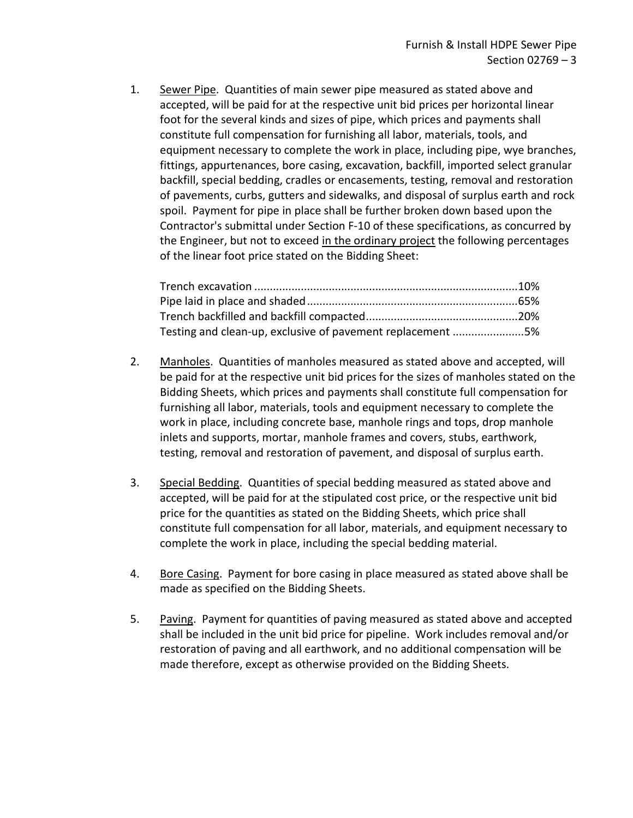1. Sewer Pipe. Quantities of main sewer pipe measured as stated above and accepted, will be paid for at the respective unit bid prices per horizontal linear foot for the several kinds and sizes of pipe, which prices and payments shall constitute full compensation for furnishing all labor, materials, tools, and equipment necessary to complete the work in place, including pipe, wye branches, fittings, appurtenances, bore casing, excavation, backfill, imported select granular backfill, special bedding, cradles or encasements, testing, removal and restoration of pavements, curbs, gutters and sidewalks, and disposal of surplus earth and rock spoil. Payment for pipe in place shall be further broken down based upon the Contractor's submittal under Section F-10 of these specifications, as concurred by the Engineer, but not to exceed in the ordinary project the following percentages of the linear foot price stated on the Bidding Sheet:

| Testing and clean-up, exclusive of pavement replacement 5% |  |
|------------------------------------------------------------|--|

- 2. Manholes. Quantities of manholes measured as stated above and accepted, will be paid for at the respective unit bid prices for the sizes of manholes stated on the Bidding Sheets, which prices and payments shall constitute full compensation for furnishing all labor, materials, tools and equipment necessary to complete the work in place, including concrete base, manhole rings and tops, drop manhole inlets and supports, mortar, manhole frames and covers, stubs, earthwork, testing, removal and restoration of pavement, and disposal of surplus earth.
- 3. Special Bedding. Quantities of special bedding measured as stated above and accepted, will be paid for at the stipulated cost price, or the respective unit bid price for the quantities as stated on the Bidding Sheets, which price shall constitute full compensation for all labor, materials, and equipment necessary to complete the work in place, including the special bedding material.
- 4. Bore Casing. Payment for bore casing in place measured as stated above shall be made as specified on the Bidding Sheets.
- 5. Paving. Payment for quantities of paving measured as stated above and accepted shall be included in the unit bid price for pipeline. Work includes removal and/or restoration of paving and all earthwork, and no additional compensation will be made therefore, except as otherwise provided on the Bidding Sheets.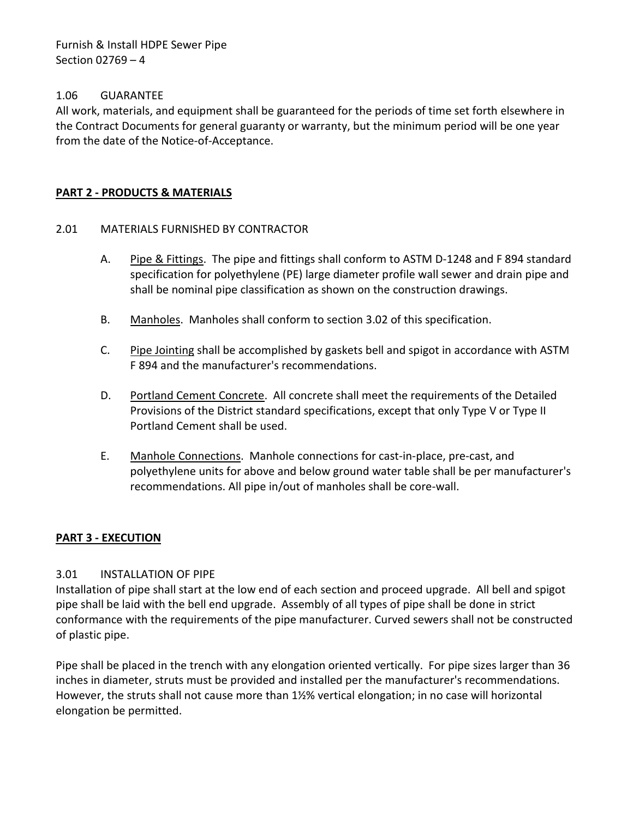Furnish & Install HDPE Sewer Pipe Section 02769 – 4

### <span id="page-5-0"></span>1.06 GUARANTEE

All work, materials, and equipment shall be guaranteed for the periods of time set forth elsewhere in the Contract Documents for general guaranty or warranty, but the minimum period will be one year from the date of the Notice-of-Acceptance.

### <span id="page-5-1"></span>**PART 2 - PRODUCTS & MATERIALS**

### <span id="page-5-2"></span>2.01 MATERIALS FURNISHED BY CONTRACTOR

- A. Pipe & Fittings. The pipe and fittings shall conform to ASTM D-1248 and F 894 standard specification for polyethylene (PE) large diameter profile wall sewer and drain pipe and shall be nominal pipe classification as shown on the construction drawings.
- B. Manholes. Manholes shall conform to section 3.02 of this specification.
- C. Pipe Jointing shall be accomplished by gaskets bell and spigot in accordance with ASTM F 894 and the manufacturer's recommendations.
- D. Portland Cement Concrete. All concrete shall meet the requirements of the Detailed Provisions of the District standard specifications, except that only Type V or Type II Portland Cement shall be used.
- E. Manhole Connections. Manhole connections for cast-in-place, pre-cast, and polyethylene units for above and below ground water table shall be per manufacturer's recommendations. All pipe in/out of manholes shall be core-wall.

### <span id="page-5-3"></span>**PART 3 - EXECUTION**

### <span id="page-5-4"></span>3.01 INSTALLATION OF PIPE

Installation of pipe shall start at the low end of each section and proceed upgrade. All bell and spigot pipe shall be laid with the bell end upgrade. Assembly of all types of pipe shall be done in strict conformance with the requirements of the pipe manufacturer. Curved sewers shall not be constructed of plastic pipe.

Pipe shall be placed in the trench with any elongation oriented vertically. For pipe sizes larger than 36 inches in diameter, struts must be provided and installed per the manufacturer's recommendations. However, the struts shall not cause more than 1½% vertical elongation; in no case will horizontal elongation be permitted.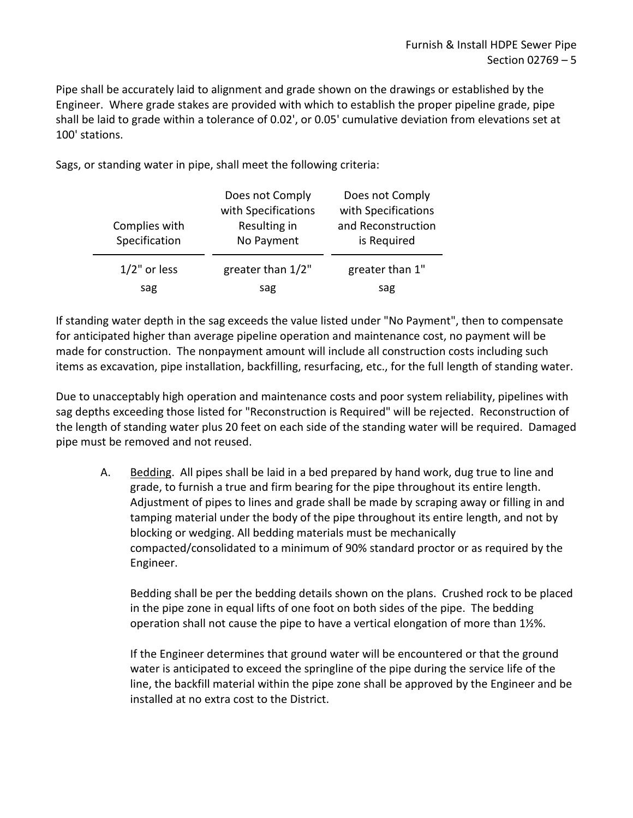Pipe shall be accurately laid to alignment and grade shown on the drawings or established by the Engineer. Where grade stakes are provided with which to establish the proper pipeline grade, pipe shall be laid to grade within a tolerance of 0.02', or 0.05' cumulative deviation from elevations set at 100' stations.

Sags, or standing water in pipe, shall meet the following criteria:

| Complies with<br>Specification | Does not Comply<br>with Specifications<br>Resulting in<br>No Payment | Does not Comply<br>with Specifications<br>and Reconstruction<br>is Required |  |
|--------------------------------|----------------------------------------------------------------------|-----------------------------------------------------------------------------|--|
| $1/2$ " or less                | greater than 1/2"                                                    | greater than 1"                                                             |  |
| sag                            | sag                                                                  | sag                                                                         |  |

If standing water depth in the sag exceeds the value listed under "No Payment", then to compensate for anticipated higher than average pipeline operation and maintenance cost, no payment will be made for construction. The nonpayment amount will include all construction costs including such items as excavation, pipe installation, backfilling, resurfacing, etc., for the full length of standing water.

Due to unacceptably high operation and maintenance costs and poor system reliability, pipelines with sag depths exceeding those listed for "Reconstruction is Required" will be rejected. Reconstruction of the length of standing water plus 20 feet on each side of the standing water will be required. Damaged pipe must be removed and not reused.

A. Bedding. All pipes shall be laid in a bed prepared by hand work, dug true to line and grade, to furnish a true and firm bearing for the pipe throughout its entire length. Adjustment of pipes to lines and grade shall be made by scraping away or filling in and tamping material under the body of the pipe throughout its entire length, and not by blocking or wedging. All bedding materials must be mechanically compacted/consolidated to a minimum of 90% standard proctor or as required by the Engineer.

Bedding shall be per the bedding details shown on the plans. Crushed rock to be placed in the pipe zone in equal lifts of one foot on both sides of the pipe. The bedding operation shall not cause the pipe to have a vertical elongation of more than 1½%.

If the Engineer determines that ground water will be encountered or that the ground water is anticipated to exceed the springline of the pipe during the service life of the line, the backfill material within the pipe zone shall be approved by the Engineer and be installed at no extra cost to the District.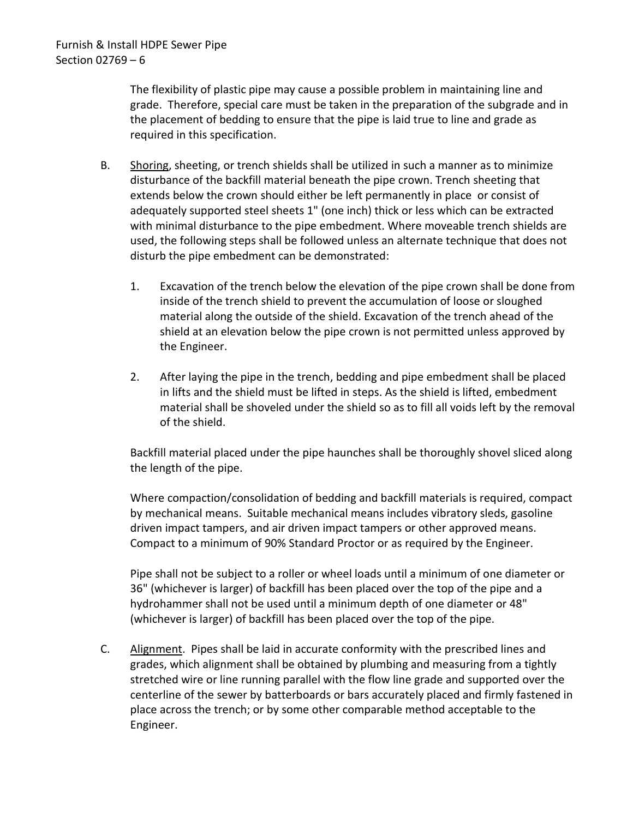The flexibility of plastic pipe may cause a possible problem in maintaining line and grade. Therefore, special care must be taken in the preparation of the subgrade and in the placement of bedding to ensure that the pipe is laid true to line and grade as required in this specification.

- B. Shoring, sheeting, or trench shields shall be utilized in such a manner as to minimize disturbance of the backfill material beneath the pipe crown. Trench sheeting that extends below the crown should either be left permanently in place or consist of adequately supported steel sheets 1" (one inch) thick or less which can be extracted with minimal disturbance to the pipe embedment. Where moveable trench shields are used, the following steps shall be followed unless an alternate technique that does not disturb the pipe embedment can be demonstrated:
	- 1. Excavation of the trench below the elevation of the pipe crown shall be done from inside of the trench shield to prevent the accumulation of loose or sloughed material along the outside of the shield. Excavation of the trench ahead of the shield at an elevation below the pipe crown is not permitted unless approved by the Engineer.
	- 2. After laying the pipe in the trench, bedding and pipe embedment shall be placed in lifts and the shield must be lifted in steps. As the shield is lifted, embedment material shall be shoveled under the shield so as to fill all voids left by the removal of the shield.

Backfill material placed under the pipe haunches shall be thoroughly shovel sliced along the length of the pipe.

Where compaction/consolidation of bedding and backfill materials is required, compact by mechanical means. Suitable mechanical means includes vibratory sleds, gasoline driven impact tampers, and air driven impact tampers or other approved means. Compact to a minimum of 90% Standard Proctor or as required by the Engineer.

Pipe shall not be subject to a roller or wheel loads until a minimum of one diameter or 36" (whichever is larger) of backfill has been placed over the top of the pipe and a hydrohammer shall not be used until a minimum depth of one diameter or 48" (whichever is larger) of backfill has been placed over the top of the pipe.

C. Alignment. Pipes shall be laid in accurate conformity with the prescribed lines and grades, which alignment shall be obtained by plumbing and measuring from a tightly stretched wire or line running parallel with the flow line grade and supported over the centerline of the sewer by batterboards or bars accurately placed and firmly fastened in place across the trench; or by some other comparable method acceptable to the Engineer.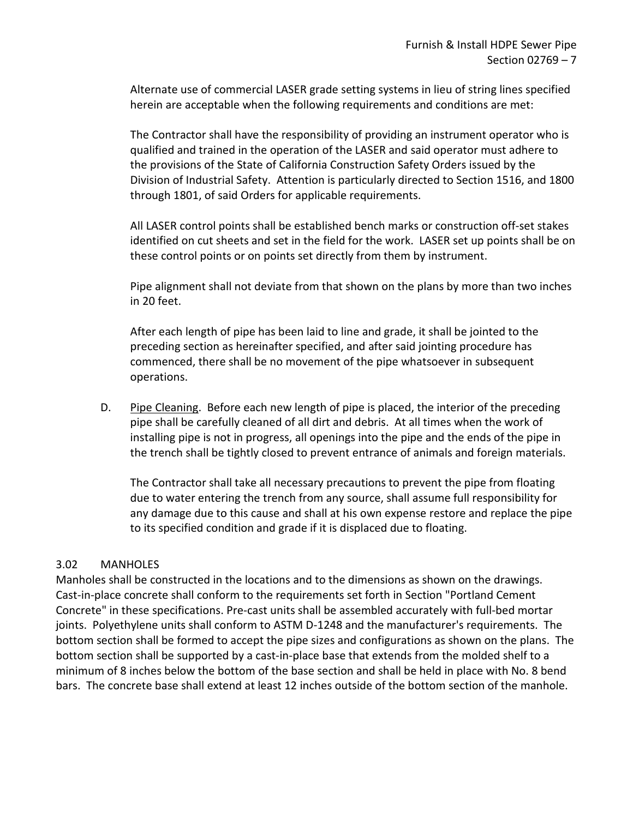Alternate use of commercial LASER grade setting systems in lieu of string lines specified herein are acceptable when the following requirements and conditions are met:

The Contractor shall have the responsibility of providing an instrument operator who is qualified and trained in the operation of the LASER and said operator must adhere to the provisions of the State of California Construction Safety Orders issued by the Division of Industrial Safety. Attention is particularly directed to Section 1516, and 1800 through 1801, of said Orders for applicable requirements.

All LASER control points shall be established bench marks or construction off-set stakes identified on cut sheets and set in the field for the work. LASER set up points shall be on these control points or on points set directly from them by instrument.

Pipe alignment shall not deviate from that shown on the plans by more than two inches in 20 feet.

After each length of pipe has been laid to line and grade, it shall be jointed to the preceding section as hereinafter specified, and after said jointing procedure has commenced, there shall be no movement of the pipe whatsoever in subsequent operations.

D. Pipe Cleaning. Before each new length of pipe is placed, the interior of the preceding pipe shall be carefully cleaned of all dirt and debris. At all times when the work of installing pipe is not in progress, all openings into the pipe and the ends of the pipe in the trench shall be tightly closed to prevent entrance of animals and foreign materials.

The Contractor shall take all necessary precautions to prevent the pipe from floating due to water entering the trench from any source, shall assume full responsibility for any damage due to this cause and shall at his own expense restore and replace the pipe to its specified condition and grade if it is displaced due to floating.

### <span id="page-8-0"></span>3.02 MANHOLES

Manholes shall be constructed in the locations and to the dimensions as shown on the drawings. Cast-in-place concrete shall conform to the requirements set forth in Section "Portland Cement Concrete" in these specifications. Pre-cast units shall be assembled accurately with full-bed mortar joints. Polyethylene units shall conform to ASTM D-1248 and the manufacturer's requirements. The bottom section shall be formed to accept the pipe sizes and configurations as shown on the plans. The bottom section shall be supported by a cast-in-place base that extends from the molded shelf to a minimum of 8 inches below the bottom of the base section and shall be held in place with No. 8 bend bars. The concrete base shall extend at least 12 inches outside of the bottom section of the manhole.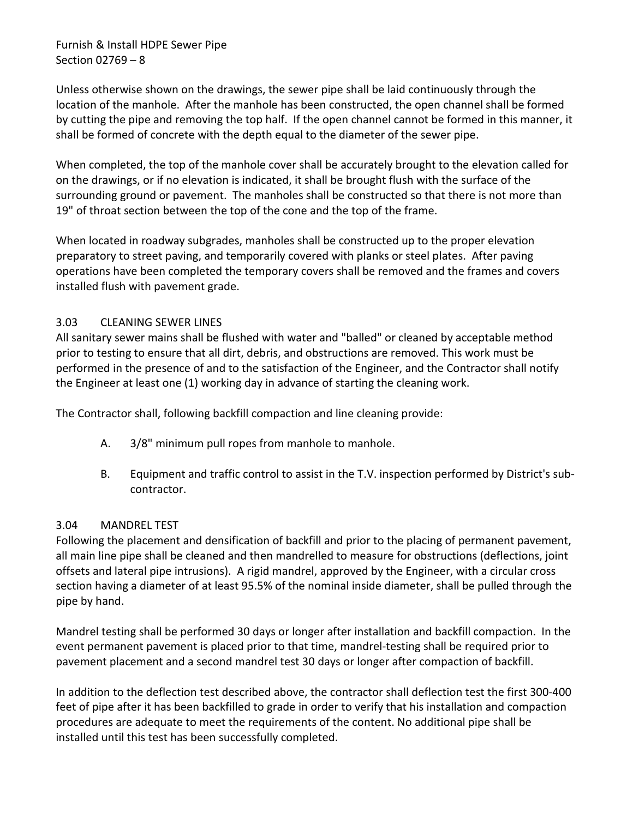Furnish & Install HDPE Sewer Pipe Section 02769 – 8

Unless otherwise shown on the drawings, the sewer pipe shall be laid continuously through the location of the manhole. After the manhole has been constructed, the open channel shall be formed by cutting the pipe and removing the top half. If the open channel cannot be formed in this manner, it shall be formed of concrete with the depth equal to the diameter of the sewer pipe.

When completed, the top of the manhole cover shall be accurately brought to the elevation called for on the drawings, or if no elevation is indicated, it shall be brought flush with the surface of the surrounding ground or pavement. The manholes shall be constructed so that there is not more than 19" of throat section between the top of the cone and the top of the frame.

When located in roadway subgrades, manholes shall be constructed up to the proper elevation preparatory to street paving, and temporarily covered with planks or steel plates. After paving operations have been completed the temporary covers shall be removed and the frames and covers installed flush with pavement grade.

# <span id="page-9-0"></span>3.03 CLEANING SEWER LINES

All sanitary sewer mains shall be flushed with water and "balled" or cleaned by acceptable method prior to testing to ensure that all dirt, debris, and obstructions are removed. This work must be performed in the presence of and to the satisfaction of the Engineer, and the Contractor shall notify the Engineer at least one (1) working day in advance of starting the cleaning work.

The Contractor shall, following backfill compaction and line cleaning provide:

- A. 3/8" minimum pull ropes from manhole to manhole.
- B. Equipment and traffic control to assist in the T.V. inspection performed by District's subcontractor.

### <span id="page-9-1"></span>3.04 MANDREL TEST

Following the placement and densification of backfill and prior to the placing of permanent pavement, all main line pipe shall be cleaned and then mandrelled to measure for obstructions (deflections, joint offsets and lateral pipe intrusions). A rigid mandrel, approved by the Engineer, with a circular cross section having a diameter of at least 95.5% of the nominal inside diameter, shall be pulled through the pipe by hand.

Mandrel testing shall be performed 30 days or longer after installation and backfill compaction. In the event permanent pavement is placed prior to that time, mandrel-testing shall be required prior to pavement placement and a second mandrel test 30 days or longer after compaction of backfill.

In addition to the deflection test described above, the contractor shall deflection test the first 300-400 feet of pipe after it has been backfilled to grade in order to verify that his installation and compaction procedures are adequate to meet the requirements of the content. No additional pipe shall be installed until this test has been successfully completed.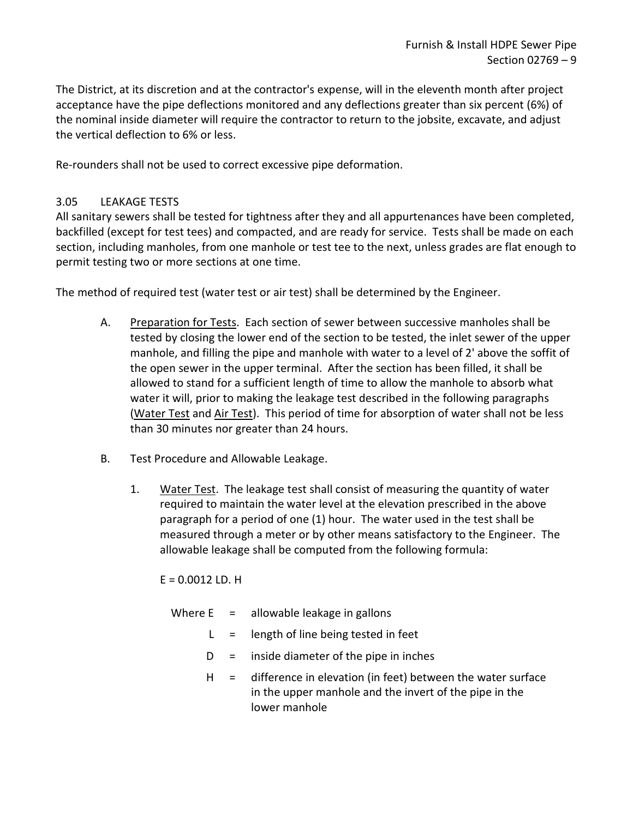The District, at its discretion and at the contractor's expense, will in the eleventh month after project acceptance have the pipe deflections monitored and any deflections greater than six percent (6%) of the nominal inside diameter will require the contractor to return to the jobsite, excavate, and adjust the vertical deflection to 6% or less.

Re-rounders shall not be used to correct excessive pipe deformation.

# <span id="page-10-0"></span>3.05 LEAKAGE TESTS

All sanitary sewers shall be tested for tightness after they and all appurtenances have been completed, backfilled (except for test tees) and compacted, and are ready for service. Tests shall be made on each section, including manholes, from one manhole or test tee to the next, unless grades are flat enough to permit testing two or more sections at one time.

The method of required test (water test or air test) shall be determined by the Engineer.

- A. Preparation for Tests. Each section of sewer between successive manholes shall be tested by closing the lower end of the section to be tested, the inlet sewer of the upper manhole, and filling the pipe and manhole with water to a level of 2' above the soffit of the open sewer in the upper terminal. After the section has been filled, it shall be allowed to stand for a sufficient length of time to allow the manhole to absorb what water it will, prior to making the leakage test described in the following paragraphs (Water Test and Air Test). This period of time for absorption of water shall not be less than 30 minutes nor greater than 24 hours.
- B. Test Procedure and Allowable Leakage.
	- 1. Water Test. The leakage test shall consist of measuring the quantity of water required to maintain the water level at the elevation prescribed in the above paragraph for a period of one (1) hour. The water used in the test shall be measured through a meter or by other means satisfactory to the Engineer. The allowable leakage shall be computed from the following formula:

 $E = 0.0012$  LD. H

|       | Where $E =$ allowable leakage in gallons                                                                                                     |
|-------|----------------------------------------------------------------------------------------------------------------------------------------------|
|       | $L =$ length of line being tested in feet                                                                                                    |
| $D =$ | inside diameter of the pipe in inches                                                                                                        |
|       | $H =$ difference in elevation (in feet) between the water surface<br>in the upper manhole and the invert of the pipe in the<br>lower manhole |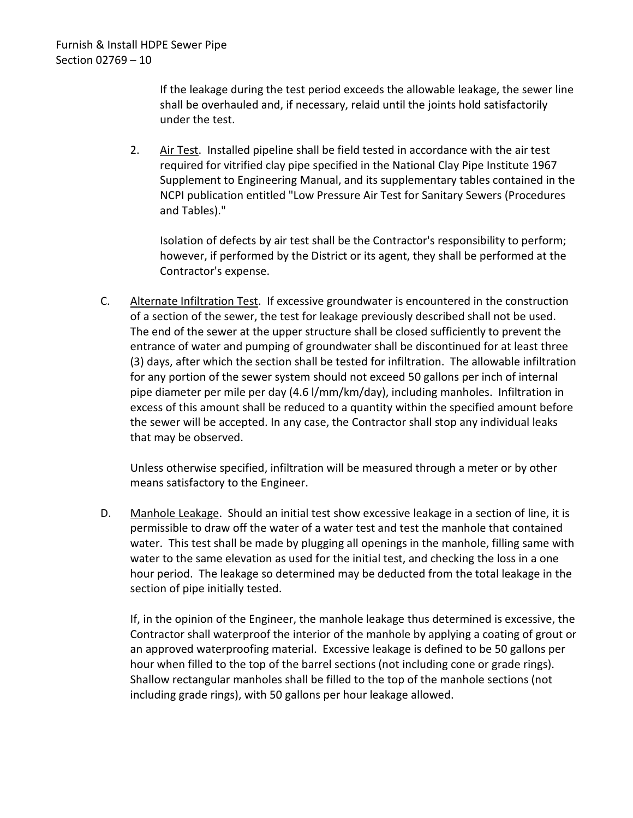If the leakage during the test period exceeds the allowable leakage, the sewer line shall be overhauled and, if necessary, relaid until the joints hold satisfactorily under the test.

2. Air Test. Installed pipeline shall be field tested in accordance with the air test required for vitrified clay pipe specified in the National Clay Pipe Institute 1967 Supplement to Engineering Manual, and its supplementary tables contained in the NCPI publication entitled "Low Pressure Air Test for Sanitary Sewers (Procedures and Tables)."

Isolation of defects by air test shall be the Contractor's responsibility to perform; however, if performed by the District or its agent, they shall be performed at the Contractor's expense.

C. Alternate Infiltration Test. If excessive groundwater is encountered in the construction of a section of the sewer, the test for leakage previously described shall not be used. The end of the sewer at the upper structure shall be closed sufficiently to prevent the entrance of water and pumping of groundwater shall be discontinued for at least three (3) days, after which the section shall be tested for infiltration. The allowable infiltration for any portion of the sewer system should not exceed 50 gallons per inch of internal pipe diameter per mile per day (4.6 l/mm/km/day), including manholes. Infiltration in excess of this amount shall be reduced to a quantity within the specified amount before the sewer will be accepted. In any case, the Contractor shall stop any individual leaks that may be observed.

Unless otherwise specified, infiltration will be measured through a meter or by other means satisfactory to the Engineer.

D. Manhole Leakage. Should an initial test show excessive leakage in a section of line, it is permissible to draw off the water of a water test and test the manhole that contained water. This test shall be made by plugging all openings in the manhole, filling same with water to the same elevation as used for the initial test, and checking the loss in a one hour period. The leakage so determined may be deducted from the total leakage in the section of pipe initially tested.

If, in the opinion of the Engineer, the manhole leakage thus determined is excessive, the Contractor shall waterproof the interior of the manhole by applying a coating of grout or an approved waterproofing material. Excessive leakage is defined to be 50 gallons per hour when filled to the top of the barrel sections (not including cone or grade rings). Shallow rectangular manholes shall be filled to the top of the manhole sections (not including grade rings), with 50 gallons per hour leakage allowed.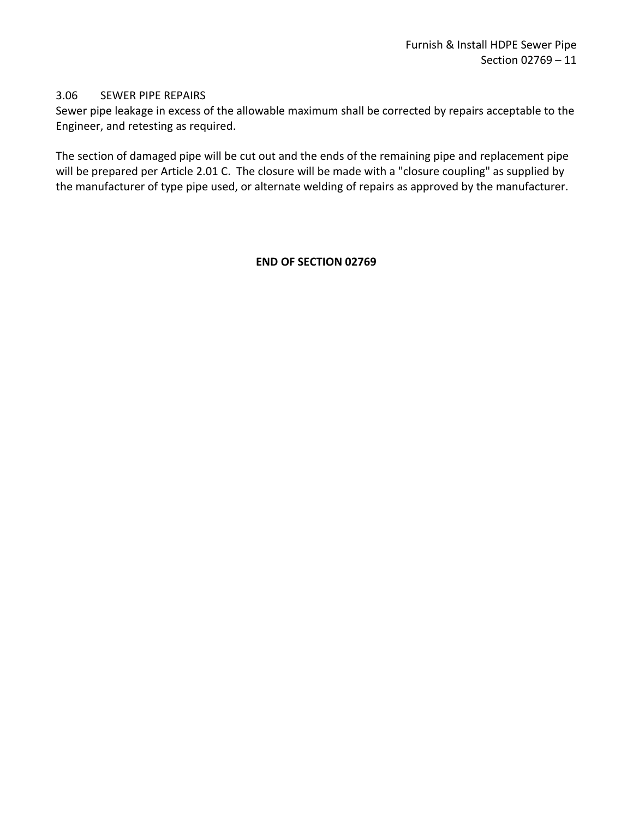### <span id="page-12-0"></span>3.06 SEWER PIPE REPAIRS

Sewer pipe leakage in excess of the allowable maximum shall be corrected by repairs acceptable to the Engineer, and retesting as required.

The section of damaged pipe will be cut out and the ends of the remaining pipe and replacement pipe will be prepared per Article 2.01 C. The closure will be made with a "closure coupling" as supplied by the manufacturer of type pipe used, or alternate welding of repairs as approved by the manufacturer.

### **END OF SECTION 02769**